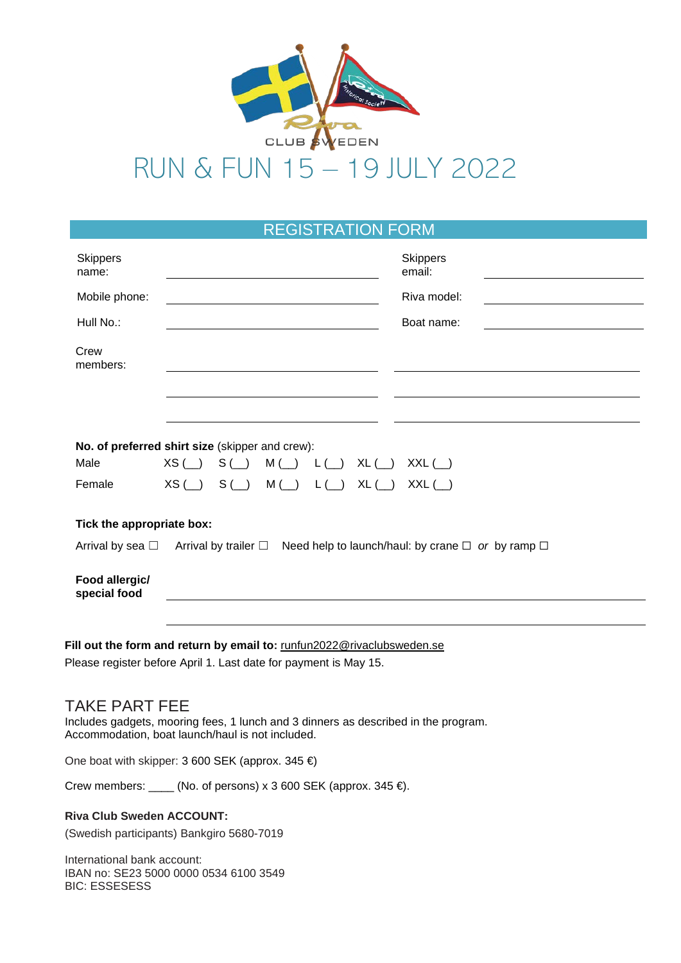

# RUN & FUN 15 – 19 JULY 2022

## REGISTRATION FORM

| <b>Skippers</b><br>name:                                                                                                                   | <b>Skippers</b><br>email:                                                                                            |
|--------------------------------------------------------------------------------------------------------------------------------------------|----------------------------------------------------------------------------------------------------------------------|
| Mobile phone:                                                                                                                              | Riva model:                                                                                                          |
| Hull No.:                                                                                                                                  | Boat name:                                                                                                           |
| Crew<br>members:                                                                                                                           |                                                                                                                      |
|                                                                                                                                            |                                                                                                                      |
|                                                                                                                                            | No. of preferred shirt size (skipper and crew):                                                                      |
| Male                                                                                                                                       | $XS(\_\_)$<br>$S(\_)$<br>$M(\underline{\hspace{0.2cm}})$ $L(\underline{\hspace{0.2cm}})$<br>$XL(\_\_)$<br>$XXL$ (__) |
| Female                                                                                                                                     | $XS(\_)$ S() M() L()<br>$XL(\_)$<br>$XXL$ (_)                                                                        |
| Tick the appropriate box:                                                                                                                  |                                                                                                                      |
|                                                                                                                                            | Arrival by sea $\Box$ Arrival by trailer $\Box$ Need help to launch/haul: by crane $\Box$ or by ramp $\Box$          |
| Food allergic/<br>special food                                                                                                             |                                                                                                                      |
|                                                                                                                                            |                                                                                                                      |
| Fill out the form and return by email to: runfun2022@rivaclubsweden.se<br>Please register before April 1. Last date for payment is May 15. |                                                                                                                      |

## TAKE PART FEE

Includes gadgets, mooring fees, 1 lunch and 3 dinners as described in the program. Accommodation, boat launch/haul is not included.

One boat with skipper: 3 600 SEK (approx. 345 €)

Crew members:  $\frac{1}{\sqrt{1-\frac{1}{n}}}$  (No. of persons) x 3 600 SEK (approx. 345  $\in$ ).

#### **Riva Club Sweden ACCOUNT:**

(Swedish participants) Bankgiro 5680-7019

International bank account: IBAN no: SE23 5000 0000 0534 6100 3549 BIC: ESSESESS